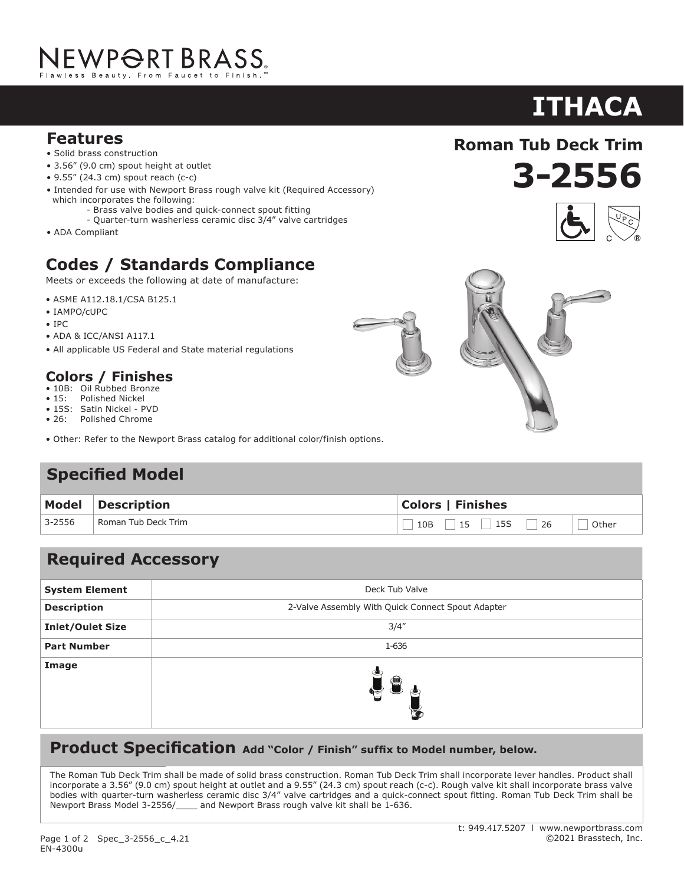# NEWP<del>O</del>RT BRASS.

#### **Features**

- Solid brass construction
- 3.56" (9.0 cm) spout height at outlet
- 9.55" (24.3 cm) spout reach (c-c)
- Intended for use with Newport Brass rough valve kit (Required Accessory) which incorporates the following:
	- Brass valve bodies and quick-connect spout fitting
	- Quarter-turn washerless ceramic disc 3/4" valve cartridges
- ADA Compliant

## **Codes / Standards Compliance**

Meets or exceeds the following at date of manufacture:

- ASME A112.18.1/CSA B125.1
- IAMPO/cUPC
- IPC
- ADA & ICC/ANSI A117.1
- All applicable US Federal and State material regulations

### **Colors / Finishes**

- 10B: Oil Rubbed Bronze<br>• 15: Polished Nickel
- Polished Nickel
- 15S: Satin Nickel PVD • 26: Polished Chrome
- Other: Refer to the Newport Brass catalog for additional color/finish options.

## **Specified Model**

| <b>Model</b> | <b>Description</b>  | <b>Colors   Finishes</b>       |  |
|--------------|---------------------|--------------------------------|--|
| 3-2556       | Roman Tub Deck Trim | $10B$ 15 15 26 $\Box$<br>Other |  |

## **Required Accessory**

| <b>System Element</b>   | Deck Tub Valve                                    |
|-------------------------|---------------------------------------------------|
| <b>Description</b>      | 2-Valve Assembly With Quick Connect Spout Adapter |
| <b>Inlet/Oulet Size</b> | 3/4''                                             |
| <b>Part Number</b>      | 1-636                                             |
| Image                   | $\equiv$                                          |

#### **Product Specification** Add "Color / Finish" suffix to Model number, below.

The Roman Tub Deck Trim shall be made of solid brass construction. Roman Tub Deck Trim shall incorporate lever handles. Product shall incorporate a 3.56" (9.0 cm) spout height at outlet and a 9.55" (24.3 cm) spout reach (c-c). Rough valve kit shall incorporate brass valve bodies with quarter-turn washerless ceramic disc 3/4" valve cartridges and a quick-connect spout fitting. Roman Tub Deck Trim shall be Newport Brass Model 3-2556/\_\_\_\_ and Newport Brass rough valve kit shall be 1-636.

EN-4300u

## **ITHACA**

**3-2556**

**Roman Tub Deck Trim**